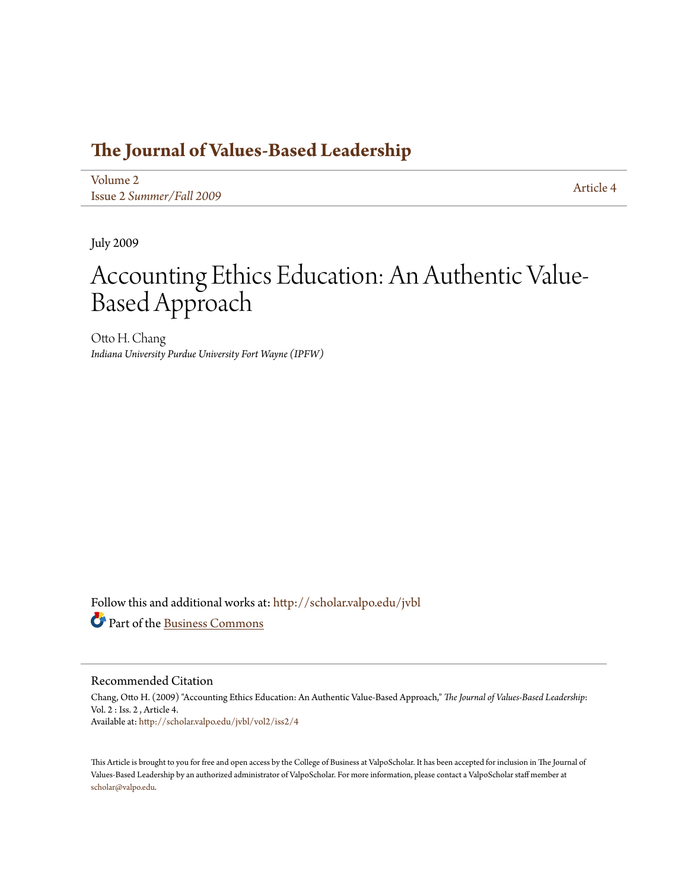## **[The Journal of Values-Based Leadership](http://scholar.valpo.edu/jvbl?utm_source=scholar.valpo.edu%2Fjvbl%2Fvol2%2Fiss2%2F4&utm_medium=PDF&utm_campaign=PDFCoverPages)**

[Volume 2](http://scholar.valpo.edu/jvbl/vol2?utm_source=scholar.valpo.edu%2Fjvbl%2Fvol2%2Fiss2%2F4&utm_medium=PDF&utm_campaign=PDFCoverPages) Issue 2 *[Summer/Fall 2009](http://scholar.valpo.edu/jvbl/vol2/iss2?utm_source=scholar.valpo.edu%2Fjvbl%2Fvol2%2Fiss2%2F4&utm_medium=PDF&utm_campaign=PDFCoverPages)* [Article 4](http://scholar.valpo.edu/jvbl/vol2/iss2/4?utm_source=scholar.valpo.edu%2Fjvbl%2Fvol2%2Fiss2%2F4&utm_medium=PDF&utm_campaign=PDFCoverPages)

July 2009

## Accounting Ethics Education: An Authentic Value-Based Approach

Otto H. Chang *Indiana University Purdue University Fort Wayne (IPFW)*

Follow this and additional works at: [http://scholar.valpo.edu/jvbl](http://scholar.valpo.edu/jvbl?utm_source=scholar.valpo.edu%2Fjvbl%2Fvol2%2Fiss2%2F4&utm_medium=PDF&utm_campaign=PDFCoverPages) Part of the [Business Commons](http://network.bepress.com/hgg/discipline/622?utm_source=scholar.valpo.edu%2Fjvbl%2Fvol2%2Fiss2%2F4&utm_medium=PDF&utm_campaign=PDFCoverPages)

#### Recommended Citation

Chang, Otto H. (2009) "Accounting Ethics Education: An Authentic Value-Based Approach," *The Journal of Values-Based Leadership*: Vol. 2 : Iss. 2 , Article 4. Available at: [http://scholar.valpo.edu/jvbl/vol2/iss2/4](http://scholar.valpo.edu/jvbl/vol2/iss2/4?utm_source=scholar.valpo.edu%2Fjvbl%2Fvol2%2Fiss2%2F4&utm_medium=PDF&utm_campaign=PDFCoverPages)

This Article is brought to you for free and open access by the College of Business at ValpoScholar. It has been accepted for inclusion in The Journal of Values-Based Leadership by an authorized administrator of ValpoScholar. For more information, please contact a ValpoScholar staff member at [scholar@valpo.edu.](mailto:scholar@valpo.edu)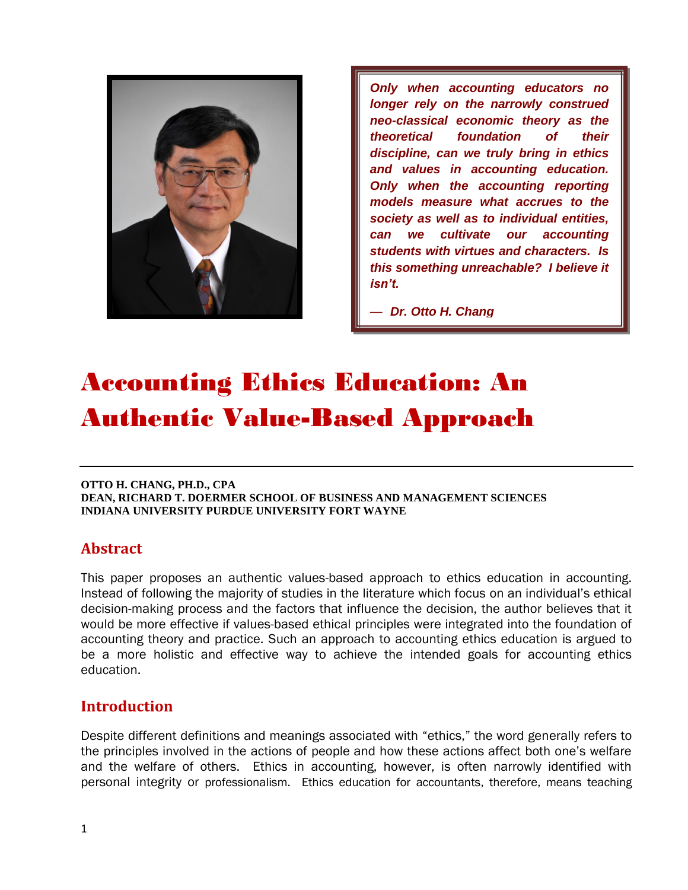

*Only when accounting educators no longer rely on the narrowly construed neo-classical economic theory as the theoretical foundation of their discipline, can we truly bring in ethics and values in accounting education. Only when the accounting reporting models measure what accrues to the society as well as to individual entities, can we cultivate our accounting students with virtues and characters. Is this something unreachable? I believe it isn't.* 

— *Dr. Otto H. Chang*

# Accounting Ethics Education: An Authentic Value-Based Approach

#### **OTTO H. CHANG, PH.D., CPA DEAN, RICHARD T. DOERMER SCHOOL OF BUSINESS AND MANAGEMENT SCIENCES INDIANA UNIVERSITY PURDUE UNIVERSITY FORT WAYNE**

## **Abstract**

This paper proposes an authentic values-based approach to ethics education in accounting. Instead of following the majority of studies in the literature which focus on an individual's ethical decision-making process and the factors that influence the decision, the author believes that it would be more effective if values-based ethical principles were integrated into the foundation of accounting theory and practice. Such an approach to accounting ethics education is argued to be a more holistic and effective way to achieve the intended goals for accounting ethics education.

## **Introduction**

Despite different definitions and meanings associated with "ethics," the word generally refers to the principles involved in the actions of people and how these actions affect both one's welfare and the welfare of others. Ethics in accounting, however, is often narrowly identified with personal integrity or professionalism. Ethics education for accountants, therefore, means teaching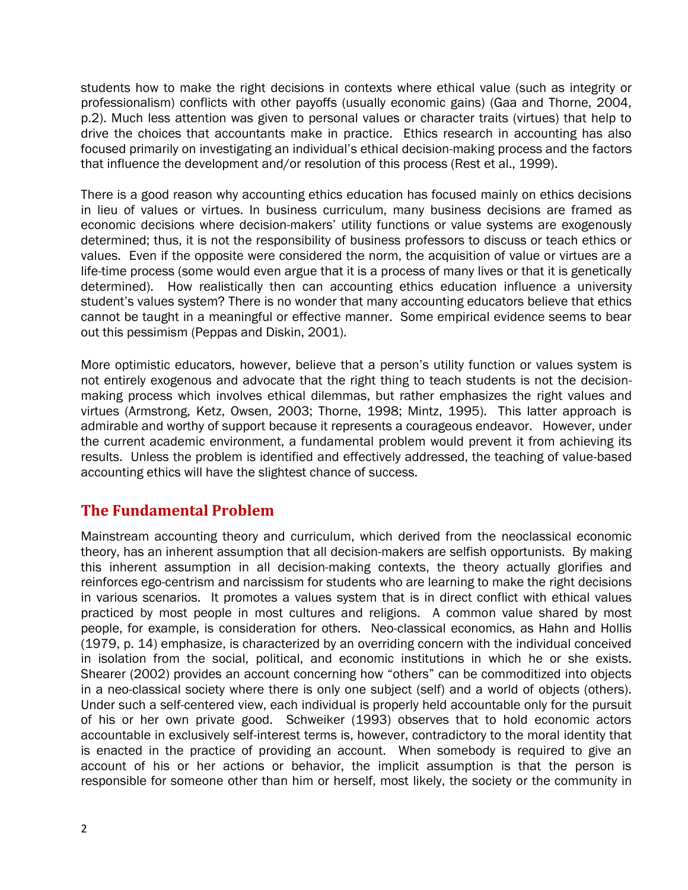students how to make the right decisions in contexts where ethical value (such as integrity or professionalism) conflicts with other payoffs (usually economic gains) (Gaa and Thorne, 2004, p.2). Much less attention was given to personal values or character traits (virtues) that help to drive the choices that accountants make in practice. Ethics research in accounting has also focused primarily on investigating an individual's ethical decision-making process and the factors that influence the development and/or resolution of this process (Rest et al., 1999).

There is a good reason why accounting ethics education has focused mainly on ethics decisions in lieu of values or virtues. In business curriculum, many business decisions are framed as economic decisions where decision-makers' utility functions or value systems are exogenously determined; thus, it is not the responsibility of business professors to discuss or teach ethics or values. Even if the opposite were considered the norm, the acquisition of value or virtues are a life-time process (some would even argue that it is a process of many lives or that it is genetically determined). How realistically then can accounting ethics education influence a university student's values system? There is no wonder that many accounting educators believe that ethics cannot be taught in a meaningful or effective manner. Some empirical evidence seems to bear out this pessimism (Peppas and Diskin, 2001).

More optimistic educators, however, believe that a person's utility function or values system is not entirely exogenous and advocate that the right thing to teach students is not the decisionmaking process which involves ethical dilemmas, but rather emphasizes the right values and virtues (Armstrong, Ketz, Owsen, 2003; Thorne, 1998; Mintz, 1995). This latter approach is admirable and worthy of support because it represents a courageous endeavor. However, under the current academic environment, a fundamental problem would prevent it from achieving its results. Unless the problem is identified and effectively addressed, the teaching of value-based accounting ethics will have the slightest chance of success.

## **The Fundamental Problem**

Mainstream accounting theory and curriculum, which derived from the neoclassical economic theory, has an inherent assumption that all decision-makers are selfish opportunists. By making this inherent assumption in all decision-making contexts, the theory actually glorifies and reinforces ego-centrism and narcissism for students who are learning to make the right decisions in various scenarios. It promotes a values system that is in direct conflict with ethical values practiced by most people in most cultures and religions. A common value shared by most people, for example, is consideration for others. Neo-classical economics, as Hahn and Hollis (1979, p. 14) emphasize, is characterized by an overriding concern with the individual conceived in isolation from the social, political, and economic institutions in which he or she exists. Shearer (2002) provides an account concerning how "others" can be commoditized into objects in a neo-classical society where there is only one subject (self) and a world of objects (others). Under such a self-centered view, each individual is properly held accountable only for the pursuit of his or her own private good. Schweiker (1993) observes that to hold economic actors accountable in exclusively self-interest terms is, however, contradictory to the moral identity that is enacted in the practice of providing an account. When somebody is required to give an account of his or her actions or behavior, the implicit assumption is that the person is responsible for someone other than him or herself, most likely, the society or the community in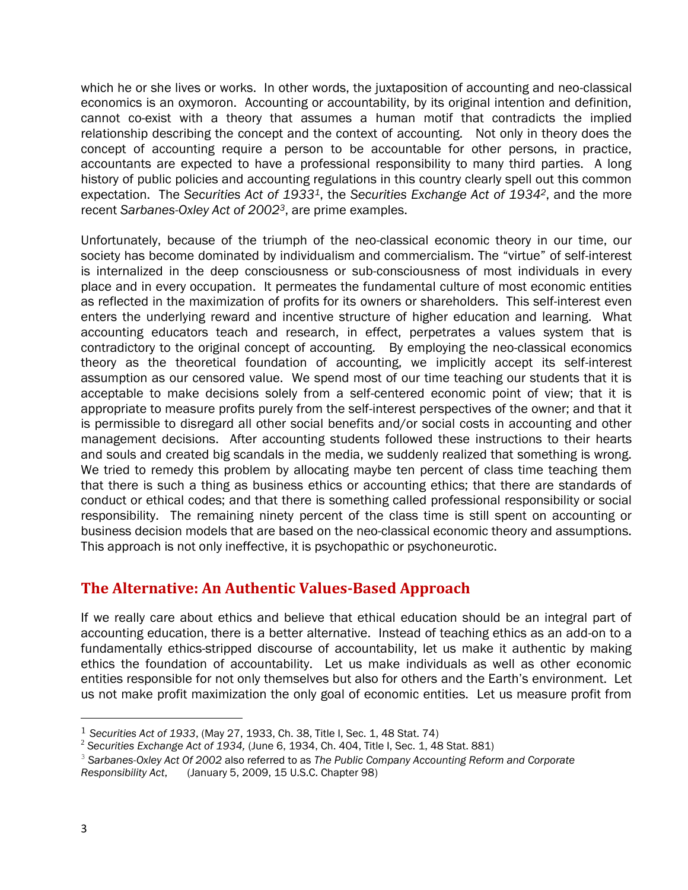which he or she lives or works. In other words, the juxtaposition of accounting and neo-classical economics is an oxymoron. Accounting or accountability, by its original intention and definition, cannot co-exist with a theory that assumes a human motif that contradicts the implied relationship describing the concept and the context of accounting. Not only in theory does the concept of accounting require a person to be accountable for other persons, in practice, accountants are expected to have a professional responsibility to many third parties. A long history of public policies and accounting regulations in this country clearly spell out this common expectation. The *Securities Act of 19331*, the *Securities Exchange Act of 19342*, and the more recent *Sarbanes-Oxley Act of 20023*, are prime examples.

Unfortunately, because of the triumph of the neo-classical economic theory in our time, our society has become dominated by individualism and commercialism. The "virtue" of self-interest is internalized in the deep consciousness or sub-consciousness of most individuals in every place and in every occupation. It permeates the fundamental culture of most economic entities as reflected in the maximization of profits for its owners or shareholders. This self-interest even enters the underlying reward and incentive structure of higher education and learning. What accounting educators teach and research, in effect, perpetrates a values system that is contradictory to the original concept of accounting. By employing the neo-classical economics theory as the theoretical foundation of accounting, we implicitly accept its self-interest assumption as our censored value. We spend most of our time teaching our students that it is acceptable to make decisions solely from a self-centered economic point of view; that it is appropriate to measure profits purely from the self-interest perspectives of the owner; and that it is permissible to disregard all other social benefits and/or social costs in accounting and other management decisions. After accounting students followed these instructions to their hearts and souls and created big scandals in the media, we suddenly realized that something is wrong. We tried to remedy this problem by allocating maybe ten percent of class time teaching them that there is such a thing as business ethics or accounting ethics; that there are standards of conduct or ethical codes; and that there is something called professional responsibility or social responsibility. The remaining ninety percent of the class time is still spent on accounting or business decision models that are based on the neo-classical economic theory and assumptions. This approach is not only ineffective, it is psychopathic or psychoneurotic.

## **The Alternative: An Authentic Values-Based Approach**

If we really care about ethics and believe that ethical education should be an integral part of accounting education, there is a better alternative. Instead of teaching ethics as an add-on to a fundamentally ethics-stripped discourse of accountability, let us make it authentic by making ethics the foundation of accountability. Let us make individuals as well as other economic entities responsible for not only themselves but also for others and the Earth's environment. Let us not make profit maximization the only goal of economic entities. Let us measure profit from

 $\overline{\phantom{a}}$ 

<sup>1</sup> *Securities Act of 1933*, (May 27, 1933, Ch. 38, Title I, Sec. 1, 48 Stat. 74)

<sup>2</sup> *Securities Exchange Act of 1934,* (June 6, 1934, Ch. 404, Title I, Sec. 1, 48 Stat. 881)

<sup>3</sup>  *Sarbanes-Oxley Act Of 2002* also referred to as *The Public Company Accounting Reform and Corporate* 

*Responsibility Act*, (January 5, 2009, 15 U.S.C. Chapter 98)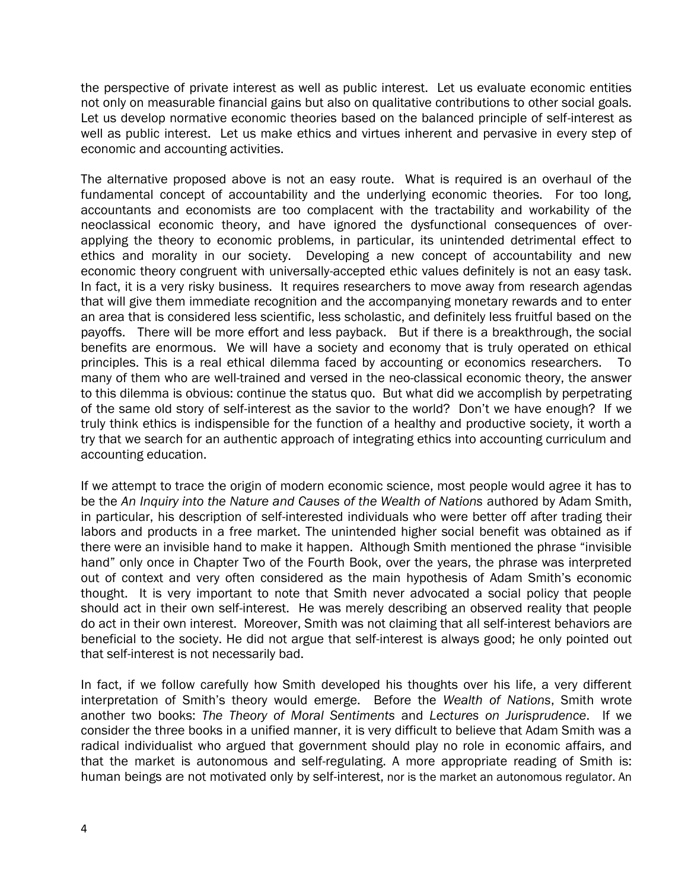the perspective of private interest as well as public interest. Let us evaluate economic entities not only on measurable financial gains but also on qualitative contributions to other social goals. Let us develop normative economic theories based on the balanced principle of self-interest as well as public interest. Let us make ethics and virtues inherent and pervasive in every step of economic and accounting activities.

The alternative proposed above is not an easy route. What is required is an overhaul of the fundamental concept of accountability and the underlying economic theories. For too long, accountants and economists are too complacent with the tractability and workability of the neoclassical economic theory, and have ignored the dysfunctional consequences of overapplying the theory to economic problems, in particular, its unintended detrimental effect to ethics and morality in our society. Developing a new concept of accountability and new economic theory congruent with universally-accepted ethic values definitely is not an easy task. In fact, it is a very risky business. It requires researchers to move away from research agendas that will give them immediate recognition and the accompanying monetary rewards and to enter an area that is considered less scientific, less scholastic, and definitely less fruitful based on the payoffs. There will be more effort and less payback. But if there is a breakthrough, the social benefits are enormous. We will have a society and economy that is truly operated on ethical principles. This is a real ethical dilemma faced by accounting or economics researchers. To many of them who are well-trained and versed in the neo-classical economic theory, the answer to this dilemma is obvious: continue the status quo. But what did we accomplish by perpetrating of the same old story of self-interest as the savior to the world? Don't we have enough? If we truly think ethics is indispensible for the function of a healthy and productive society, it worth a try that we search for an authentic approach of integrating ethics into accounting curriculum and accounting education.

If we attempt to trace the origin of modern economic science, most people would agree it has to be the *An Inquiry into the Nature and Causes of the Wealth of Nations* authored by Adam Smith, in particular, his description of self-interested individuals who were better off after trading their labors and products in a free market. The unintended higher social benefit was obtained as if there were an invisible hand to make it happen. Although Smith mentioned the phrase "invisible hand" only once in Chapter Two of the Fourth Book, over the years, the phrase was interpreted out of context and very often considered as the main hypothesis of Adam Smith's economic thought. It is very important to note that Smith never advocated a social policy that people should act in their own self-interest. He was merely describing an observed reality that people do act in their own interest. Moreover, Smith was not claiming that all self-interest behaviors are beneficial to the society. He did not argue that self-interest is always good; he only pointed out that self-interest is not necessarily bad.

In fact, if we follow carefully how Smith developed his thoughts over his life, a very different interpretation of Smith's theory would emerge. Before the *Wealth of Nations*, Smith wrote another two books: *The Theory of Moral Sentiments* and *Lectures on Jurisprudence*. If we consider the three books in a unified manner, it is very difficult to believe that Adam Smith was a radical individualist who argued that government should play no role in economic affairs, and that the market is autonomous and self-regulating. A more appropriate reading of Smith is: human beings are not motivated only by self-interest, nor is the market an autonomous regulator. An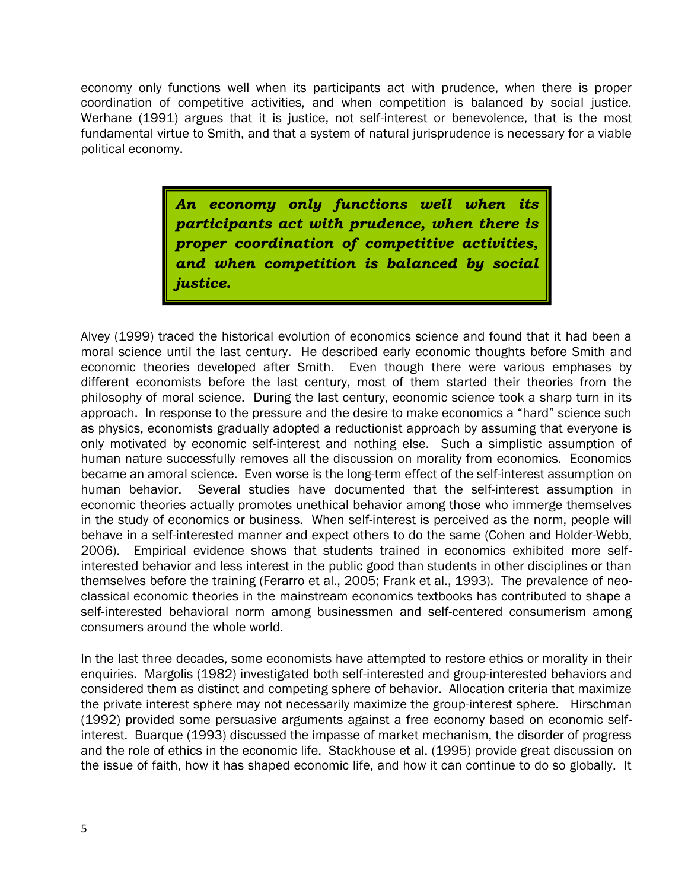economy only functions well when its participants act with prudence, when there is proper coordination of competitive activities, and when competition is balanced by social justice. Werhane (1991) argues that it is justice, not self-interest or benevolence, that is the most fundamental virtue to Smith, and that a system of natural jurisprudence is necessary for a viable political economy.

> *An economy only functions well when its participants act with prudence, when there is proper coordination of competitive activities, and when competition is balanced by social justice.*

Alvey (1999) traced the historical evolution of economics science and found that it had been a moral science until the last century. He described early economic thoughts before Smith and economic theories developed after Smith. Even though there were various emphases by different economists before the last century, most of them started their theories from the philosophy of moral science. During the last century, economic science took a sharp turn in its approach. In response to the pressure and the desire to make economics a "hard" science such as physics, economists gradually adopted a reductionist approach by assuming that everyone is only motivated by economic self-interest and nothing else. Such a simplistic assumption of human nature successfully removes all the discussion on morality from economics. Economics became an amoral science. Even worse is the long-term effect of the self-interest assumption on human behavior. Several studies have documented that the self-interest assumption in economic theories actually promotes unethical behavior among those who immerge themselves in the study of economics or business. When self-interest is perceived as the norm, people will behave in a self-interested manner and expect others to do the same (Cohen and Holder-Webb, 2006). Empirical evidence shows that students trained in economics exhibited more selfinterested behavior and less interest in the public good than students in other disciplines or than themselves before the training (Ferarro et al., 2005; Frank et al., 1993). The prevalence of neoclassical economic theories in the mainstream economics textbooks has contributed to shape a self-interested behavioral norm among businessmen and self-centered consumerism among consumers around the whole world.

In the last three decades, some economists have attempted to restore ethics or morality in their enquiries. Margolis (1982) investigated both self-interested and group-interested behaviors and considered them as distinct and competing sphere of behavior. Allocation criteria that maximize the private interest sphere may not necessarily maximize the group-interest sphere. Hirschman (1992) provided some persuasive arguments against a free economy based on economic selfinterest. Buarque (1993) discussed the impasse of market mechanism, the disorder of progress and the role of ethics in the economic life. Stackhouse et al. (1995) provide great discussion on the issue of faith, how it has shaped economic life, and how it can continue to do so globally. It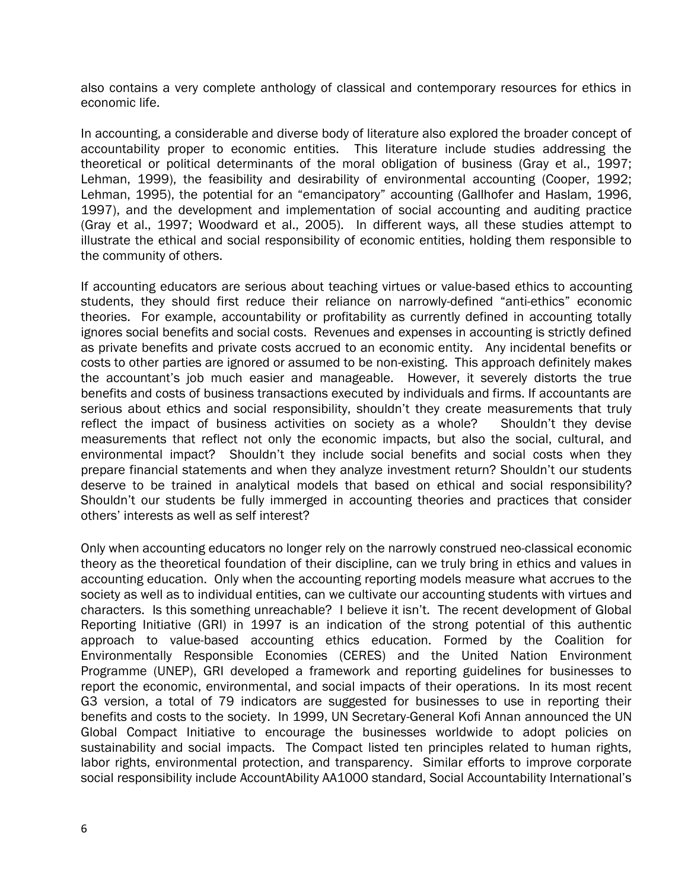also contains a very complete anthology of classical and contemporary resources for ethics in economic life.

In accounting, a considerable and diverse body of literature also explored the broader concept of accountability proper to economic entities. This literature include studies addressing the theoretical or political determinants of the moral obligation of business (Gray et al., 1997; Lehman, 1999), the feasibility and desirability of environmental accounting (Cooper, 1992; Lehman, 1995), the potential for an "emancipatory" accounting (Gallhofer and Haslam, 1996, 1997), and the development and implementation of social accounting and auditing practice (Gray et al., 1997; Woodward et al., 2005). In different ways, all these studies attempt to illustrate the ethical and social responsibility of economic entities, holding them responsible to the community of others.

If accounting educators are serious about teaching virtues or value-based ethics to accounting students, they should first reduce their reliance on narrowly-defined "anti-ethics" economic theories. For example, accountability or profitability as currently defined in accounting totally ignores social benefits and social costs. Revenues and expenses in accounting is strictly defined as private benefits and private costs accrued to an economic entity. Any incidental benefits or costs to other parties are ignored or assumed to be non-existing. This approach definitely makes the accountant's job much easier and manageable. However, it severely distorts the true benefits and costs of business transactions executed by individuals and firms. If accountants are serious about ethics and social responsibility, shouldn't they create measurements that truly reflect the impact of business activities on society as a whole? Shouldn't they devise measurements that reflect not only the economic impacts, but also the social, cultural, and environmental impact? Shouldn't they include social benefits and social costs when they prepare financial statements and when they analyze investment return? Shouldn't our students deserve to be trained in analytical models that based on ethical and social responsibility? Shouldn't our students be fully immerged in accounting theories and practices that consider others' interests as well as self interest?

Only when accounting educators no longer rely on the narrowly construed neo-classical economic theory as the theoretical foundation of their discipline, can we truly bring in ethics and values in accounting education. Only when the accounting reporting models measure what accrues to the society as well as to individual entities, can we cultivate our accounting students with virtues and characters. Is this something unreachable? I believe it isn't. The recent development of Global Reporting Initiative (GRI) in 1997 is an indication of the strong potential of this authentic approach to value-based accounting ethics education. Formed by the Coalition for Environmentally Responsible Economies (CERES) and the United Nation Environment Programme (UNEP), GRI developed a framework and reporting guidelines for businesses to report the economic, environmental, and social impacts of their operations. In its most recent G3 version, a total of 79 indicators are suggested for businesses to use in reporting their benefits and costs to the society. In 1999, UN Secretary-General Kofi Annan announced the UN Global Compact Initiative to encourage the businesses worldwide to adopt policies on sustainability and social impacts. The Compact listed ten principles related to human rights, labor rights, environmental protection, and transparency. Similar efforts to improve corporate social responsibility include AccountAbility AA1000 standard, Social Accountability International's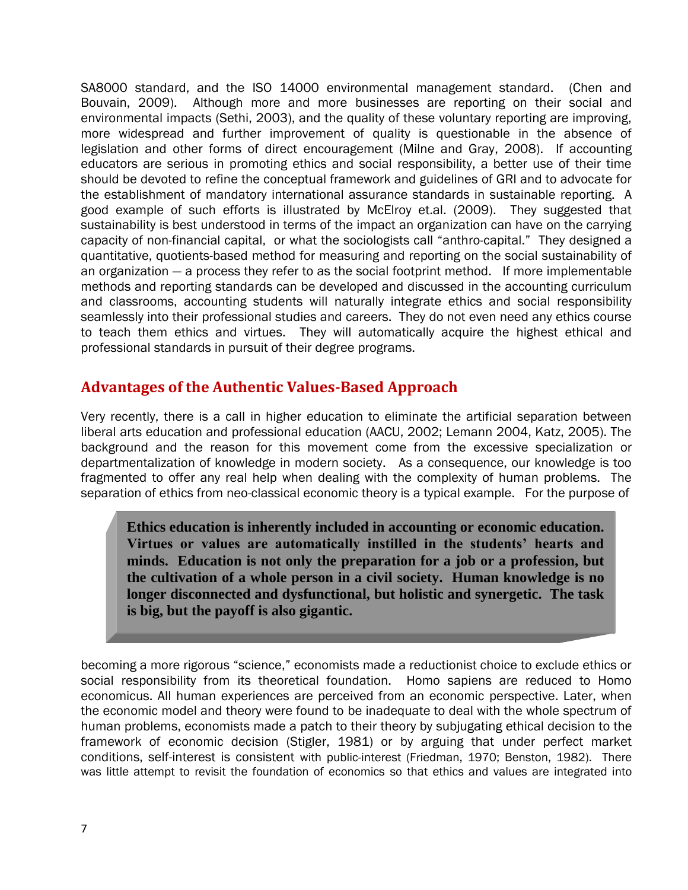SA8000 standard, and the ISO 14000 environmental management standard. (Chen and Bouvain, 2009). Although more and more businesses are reporting on their social and environmental impacts (Sethi, 2003), and the quality of these voluntary reporting are improving, more widespread and further improvement of quality is questionable in the absence of legislation and other forms of direct encouragement (Milne and Gray, 2008). If accounting educators are serious in promoting ethics and social responsibility, a better use of their time should be devoted to refine the conceptual framework and guidelines of GRI and to advocate for the establishment of mandatory international assurance standards in sustainable reporting. A good example of such efforts is illustrated by McElroy et.al. (2009). They suggested that sustainability is best understood in terms of the impact an organization can have on the carrying capacity of non-financial capital, or what the sociologists call "anthro-capital." They designed a quantitative, quotients-based method for measuring and reporting on the social sustainability of an organization — a process they refer to as the social footprint method. If more implementable methods and reporting standards can be developed and discussed in the accounting curriculum and classrooms, accounting students will naturally integrate ethics and social responsibility seamlessly into their professional studies and careers. They do not even need any ethics course to teach them ethics and virtues. They will automatically acquire the highest ethical and professional standards in pursuit of their degree programs.

#### **Advantages of the Authentic Values-Based Approach**

Very recently, there is a call in higher education to eliminate the artificial separation between liberal arts education and professional education (AACU, 2002; Lemann 2004, Katz, 2005). The background and the reason for this movement come from the excessive specialization or departmentalization of knowledge in modern society. As a consequence, our knowledge is too fragmented to offer any real help when dealing with the complexity of human problems. The separation of ethics from neo-classical economic theory is a typical example. For the purpose of

**Ethics education is inherently included in accounting or economic education. Virtues or values are automatically instilled in the students' hearts and minds. Education is not only the preparation for a job or a profession, but the cultivation of a whole person in a civil society. Human knowledge is no longer disconnected and dysfunctional, but holistic and synergetic. The task is big, but the payoff is also gigantic.** 

becoming a more rigorous "science," economists made a reductionist choice to exclude ethics or social responsibility from its theoretical foundation. Homo sapiens are reduced to Homo economicus. All human experiences are perceived from an economic perspective. Later, when the economic model and theory were found to be inadequate to deal with the whole spectrum of human problems, economists made a patch to their theory by subjugating ethical decision to the framework of economic decision (Stigler, 1981) or by arguing that under perfect market conditions, self-interest is consistent with public-interest (Friedman, 1970; Benston, 1982). There was little attempt to revisit the foundation of economics so that ethics and values are integrated into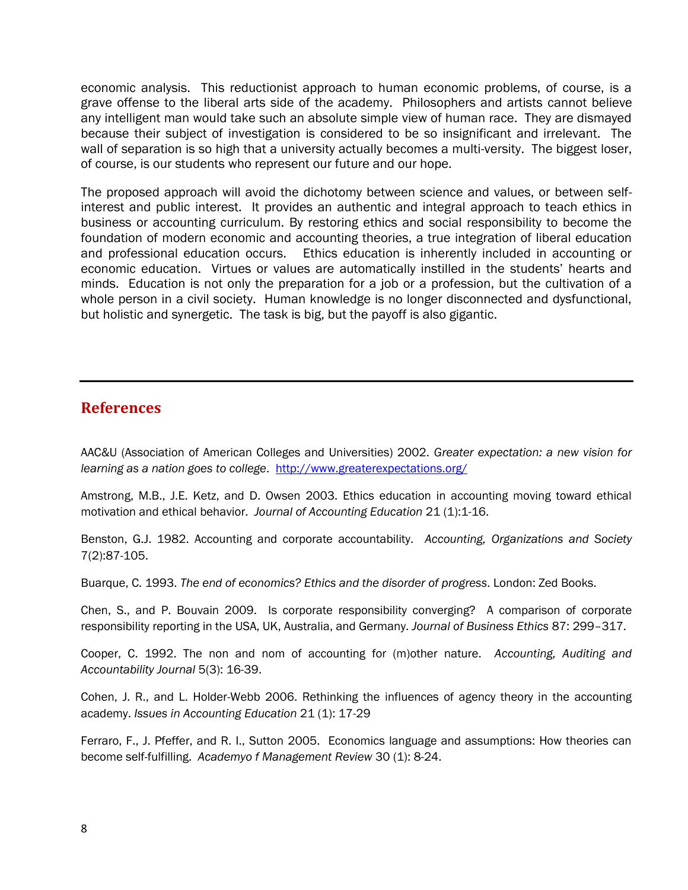economic analysis. This reductionist approach to human economic problems, of course, is a grave offense to the liberal arts side of the academy. Philosophers and artists cannot believe any intelligent man would take such an absolute simple view of human race. They are dismayed because their subject of investigation is considered to be so insignificant and irrelevant. The wall of separation is so high that a university actually becomes a multi-versity. The biggest loser, of course, is our students who represent our future and our hope.

The proposed approach will avoid the dichotomy between science and values, or between selfinterest and public interest. It provides an authentic and integral approach to teach ethics in business or accounting curriculum. By restoring ethics and social responsibility to become the foundation of modern economic and accounting theories, a true integration of liberal education and professional education occurs. Ethics education is inherently included in accounting or economic education. Virtues or values are automatically instilled in the students' hearts and minds. Education is not only the preparation for a job or a profession, but the cultivation of a whole person in a civil society. Human knowledge is no longer disconnected and dysfunctional, but holistic and synergetic. The task is big, but the payoff is also gigantic.

#### **References**

AAC&U (Association of American Colleges and Universities) 2002. *Greater expectation: a new vision for learning as a nation goes to college*. <http://www.greaterexpectations.org/>

Amstrong, M.B., J.E. Ketz, and D. Owsen 2003. Ethics education in accounting moving toward ethical motivation and ethical behavior. *Journal of Accounting Education* 21 (1):1-16.

Benston, G.J. 1982. Accounting and corporate accountability. *Accounting, Organizations and Society*  7(2):87-105.

Buarque, C. 1993. *The end of economics? Ethics and the disorder of progress*. London: Zed Books.

Chen, S., and P. Bouvain 2009. Is corporate responsibility converging? A comparison of corporate responsibility reporting in the USA, UK, Australia, and Germany. *Journal of Business Ethics* 87: 299–317.

Cooper, C. 1992. The non and nom of accounting for (m)other nature. *Accounting, Auditing and Accountability Journal* 5(3): 16-39.

Cohen, J. R., and L. Holder-Webb 2006. Rethinking the influences of agency theory in the accounting academy. *Issues in Accounting Education* 21 (1): 17-29

Ferraro, F., J. Pfeffer, and R. I., Sutton 2005. Economics language and assumptions: How theories can become self-fulfilling. *Academyo f Management Review* 30 (1): 8-24.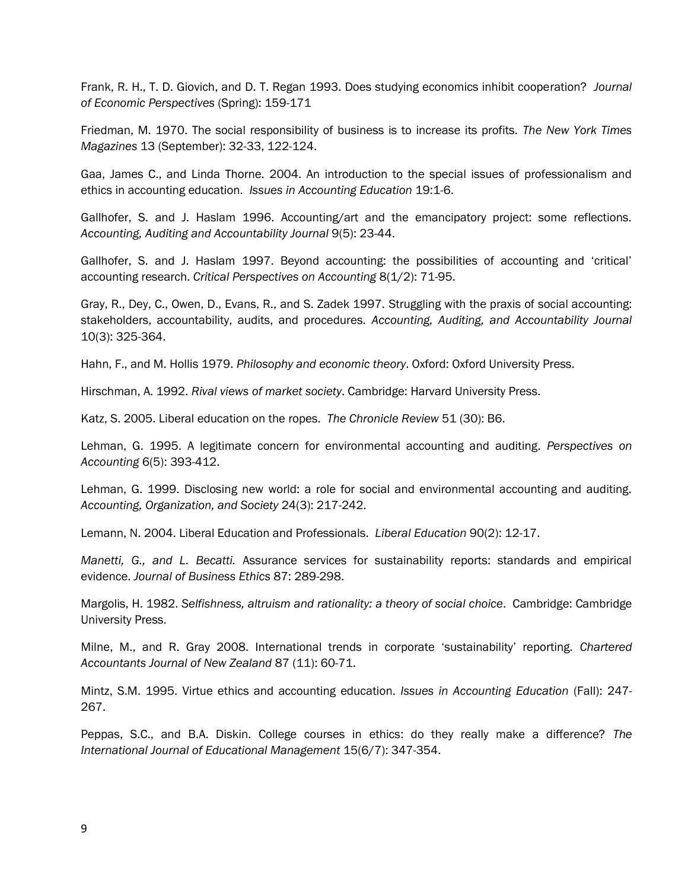Frank, R. H., T. D. Giovich, and D. T. Regan 1993. Does studying economics inhibit cooperation? *Journal of Economic Perspectives* (Spring): 159-171

Friedman, M. 1970. The social responsibility of business is to increase its profits. *The New York Times Magazines* 13 (September): 32-33, 122-124.

Gaa, James C., and Linda Thorne. 2004. An introduction to the special issues of professionalism and ethics in accounting education. *Issues in Accounting Education* 19:1-6.

Gallhofer, S. and J. Haslam 1996. Accounting/art and the emancipatory project: some reflections. *Accounting, Auditing and Accountability Journal* 9(5): 23-44.

Gallhofer, S. and J. Haslam 1997. Beyond accounting: the possibilities of accounting and 'critical' accounting research. *Critical Perspectives on Accounting* 8(1/2): 71-95.

Gray, R., Dey, C., Owen, D., Evans, R., and S. Zadek 1997. Struggling with the praxis of social accounting: stakeholders, accountability, audits, and procedures. *Accounting, Auditing, and Accountability Journal* 10(3): 325-364.

Hahn, F., and M. Hollis 1979. *Philosophy and economic theory*. Oxford: Oxford University Press.

Hirschman, A. 1992. *Rival views of market society*. Cambridge: Harvard University Press.

Katz, S. 2005. Liberal education on the ropes. *The Chronicle Review* 51 (30): B6.

Lehman, G. 1995. A legitimate concern for environmental accounting and auditing. *Perspectives on Accounting* 6(5): 393-412.

Lehman, G. 1999. Disclosing new world: a role for social and environmental accounting and auditing. *Accounting, Organization, and Society* 24(3): 217-242.

Lemann, N. 2004. Liberal Education and Professionals. *Liberal Education* 90(2): 12-17.

*Manetti, G., and L. Becatti.* Assurance services for sustainability reports: standards and empirical evidence. *Journal of Business Ethics* 87: 289-298.

Margolis, H. 1982. *Selfishness, altruism and rationality: a theory of social choice*. Cambridge: Cambridge University Press.

Milne, M., and R. Gray 2008. International trends in corporate ‗sustainability' reporting. *Chartered Accountants Journal of New Zealand* 87 (11): 60-71.

Mintz, S.M. 1995. Virtue ethics and accounting education. *Issues in Accounting Education* (Fall): 247- 267.

Peppas, S.C., and B.A. Diskin. College courses in ethics: do they really make a difference? *The International Journal of Educational Management* 15(6/7): 347-354.